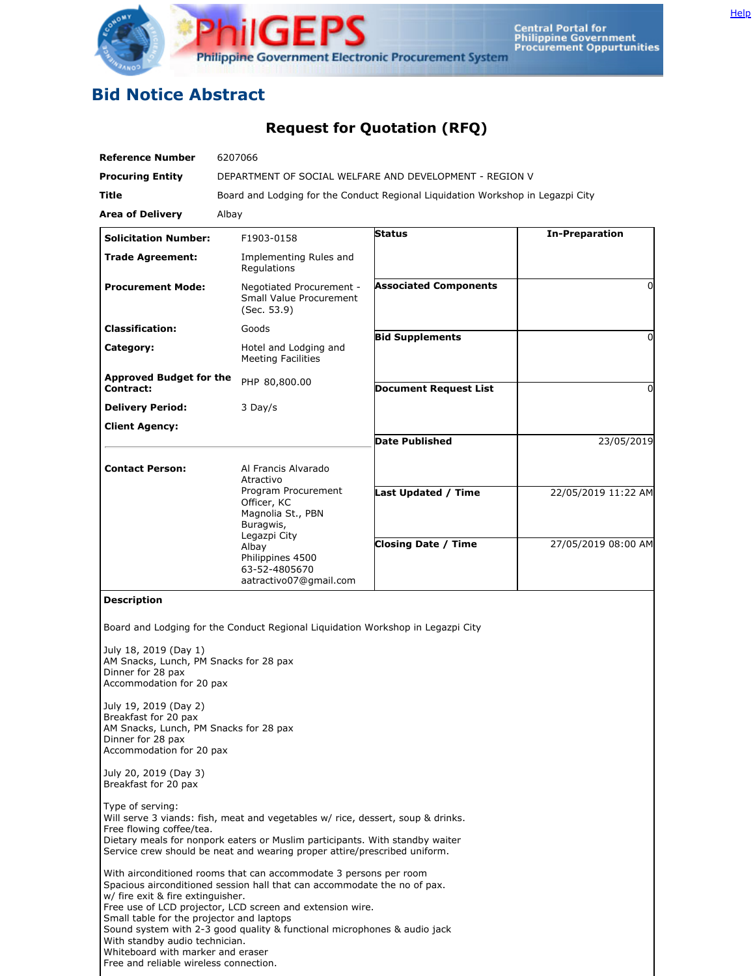

## **Bid Notice Abstract**

## **Request for Quotation (RFQ)**

| <b>Reference Number</b>                                                                                                                                                                                                                                                                                                                                       | 6207066                                                                                                                                                                                                                                                                                                                                                                                                                                             |                                                                                 |                       |
|---------------------------------------------------------------------------------------------------------------------------------------------------------------------------------------------------------------------------------------------------------------------------------------------------------------------------------------------------------------|-----------------------------------------------------------------------------------------------------------------------------------------------------------------------------------------------------------------------------------------------------------------------------------------------------------------------------------------------------------------------------------------------------------------------------------------------------|---------------------------------------------------------------------------------|-----------------------|
| <b>Procuring Entity</b>                                                                                                                                                                                                                                                                                                                                       |                                                                                                                                                                                                                                                                                                                                                                                                                                                     | DEPARTMENT OF SOCIAL WELFARE AND DEVELOPMENT - REGION V                         |                       |
| Title                                                                                                                                                                                                                                                                                                                                                         |                                                                                                                                                                                                                                                                                                                                                                                                                                                     | Board and Lodging for the Conduct Regional Liguidation Workshop in Legazpi City |                       |
| <b>Area of Delivery</b>                                                                                                                                                                                                                                                                                                                                       | Albay                                                                                                                                                                                                                                                                                                                                                                                                                                               |                                                                                 |                       |
| <b>Solicitation Number:</b>                                                                                                                                                                                                                                                                                                                                   | F1903-0158                                                                                                                                                                                                                                                                                                                                                                                                                                          | <b>Status</b>                                                                   | <b>In-Preparation</b> |
| <b>Trade Agreement:</b>                                                                                                                                                                                                                                                                                                                                       | Implementing Rules and<br>Regulations                                                                                                                                                                                                                                                                                                                                                                                                               |                                                                                 |                       |
| <b>Procurement Mode:</b>                                                                                                                                                                                                                                                                                                                                      | Negotiated Procurement -<br><b>Small Value Procurement</b><br>(Sec. 53.9)                                                                                                                                                                                                                                                                                                                                                                           | <b>Associated Components</b>                                                    | 0                     |
| <b>Classification:</b>                                                                                                                                                                                                                                                                                                                                        | Goods                                                                                                                                                                                                                                                                                                                                                                                                                                               | <b>Bid Supplements</b>                                                          | 0                     |
| Category:                                                                                                                                                                                                                                                                                                                                                     | Hotel and Lodging and<br><b>Meeting Facilities</b>                                                                                                                                                                                                                                                                                                                                                                                                  |                                                                                 |                       |
| <b>Approved Budget for the</b><br>Contract:                                                                                                                                                                                                                                                                                                                   | PHP 80,800.00                                                                                                                                                                                                                                                                                                                                                                                                                                       | <b>Document Request List</b>                                                    | $\Omega$              |
| <b>Delivery Period:</b>                                                                                                                                                                                                                                                                                                                                       | 3 Day/s                                                                                                                                                                                                                                                                                                                                                                                                                                             |                                                                                 |                       |
| <b>Client Agency:</b>                                                                                                                                                                                                                                                                                                                                         |                                                                                                                                                                                                                                                                                                                                                                                                                                                     |                                                                                 |                       |
|                                                                                                                                                                                                                                                                                                                                                               |                                                                                                                                                                                                                                                                                                                                                                                                                                                     | <b>Date Published</b>                                                           | 23/05/2019            |
| <b>Contact Person:</b>                                                                                                                                                                                                                                                                                                                                        | Al Francis Alvarado<br>Atractivo<br>Program Procurement<br>Officer, KC<br>Magnolia St., PBN                                                                                                                                                                                                                                                                                                                                                         | Last Updated / Time                                                             | 22/05/2019 11:22 AM   |
|                                                                                                                                                                                                                                                                                                                                                               | Buragwis,<br>Legazpi City<br>Albay<br>Philippines 4500<br>63-52-4805670<br>aatractivo07@gmail.com                                                                                                                                                                                                                                                                                                                                                   | <b>Closing Date / Time</b>                                                      | 27/05/2019 08:00 AM   |
| July 18, 2019 (Day 1)<br>AM Snacks, Lunch, PM Snacks for 28 pax<br>Dinner for 28 pax<br>Accommodation for 20 pax<br>July 19, 2019 (Day 2)<br>Breakfast for 20 pax<br>AM Snacks, Lunch, PM Snacks for 28 pax<br>Dinner for 28 pax<br>Accommodation for 20 pax<br>July 20, 2019 (Day 3)<br>Breakfast for 20 pax<br>Type of serving:<br>Free flowing coffee/tea. | Board and Lodging for the Conduct Regional Liguidation Workshop in Legazpi City<br>Will serve 3 viands: fish, meat and vegetables w/ rice, dessert, soup & drinks.                                                                                                                                                                                                                                                                                  |                                                                                 |                       |
| w/ fire exit & fire extinguisher.<br>Small table for the projector and laptops<br>With standby audio technician.<br>Whiteboard with marker and eraser<br>Free and reliable wireless connection.                                                                                                                                                               | Dietary meals for nonpork eaters or Muslim participants. With standby waiter<br>Service crew should be neat and wearing proper attire/prescribed uniform.<br>With airconditioned rooms that can accommodate 3 persons per room<br>Spacious airconditioned session hall that can accommodate the no of pax.<br>Free use of LCD projector, LCD screen and extension wire.<br>Sound system with 2-3 good quality & functional microphones & audio jack |                                                                                 |                       |